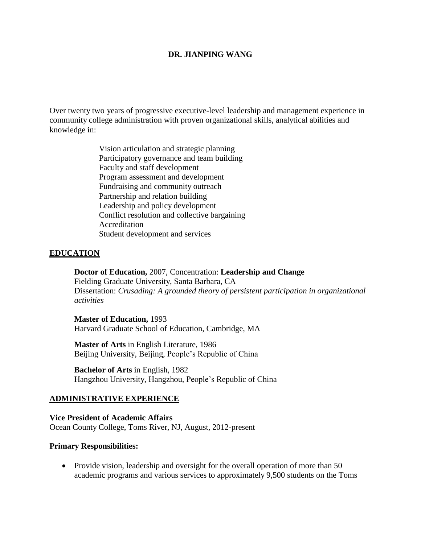#### **DR. JIANPING WANG**

Over twenty two years of progressive executive-level leadership and management experience in community college administration with proven organizational skills, analytical abilities and knowledge in:

> Vision articulation and strategic planning Participatory governance and team building Faculty and staff development Program assessment and development Fundraising and community outreach Partnership and relation building Leadership and policy development Conflict resolution and collective bargaining Accreditation Student development and services

#### **EDUCATION**

**Doctor of Education,** 2007, Concentration: **Leadership and Change** Fielding Graduate University, Santa Barbara, CA Dissertation: *Crusading: A grounded theory of persistent participation in organizational activities*

#### **Master of Education,** 1993

Harvard Graduate School of Education, Cambridge, MA

**Master of Arts** in English Literature, 1986 Beijing University, Beijing, People's Republic of China

**Bachelor of Arts** in English, 1982 Hangzhou University, Hangzhou, People's Republic of China

#### **ADMINISTRATIVE EXPERIENCE**

**Vice President of Academic Affairs** Ocean County College, Toms River, NJ, August, 2012-present

#### **Primary Responsibilities:**

• Provide vision, leadership and oversight for the overall operation of more than 50 academic programs and various services to approximately 9,500 students on the Toms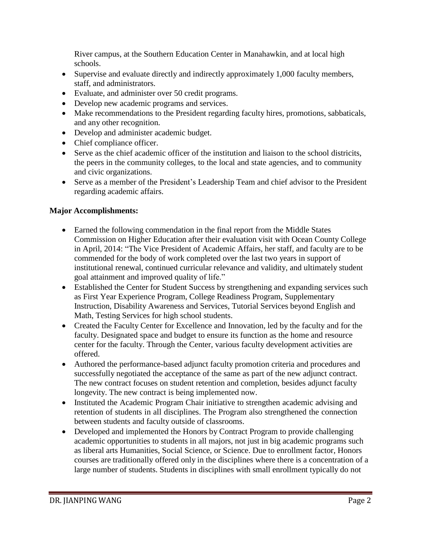River campus, at the Southern Education Center in Manahawkin, and at local high schools.

- Supervise and evaluate directly and indirectly approximately 1,000 faculty members, staff, and administrators.
- Evaluate, and administer over 50 credit programs.
- Develop new academic programs and services.
- Make recommendations to the President regarding faculty hires, promotions, sabbaticals, and any other recognition.
- Develop and administer academic budget.
- Chief compliance officer.
- Serve as the chief academic officer of the institution and liaison to the school districits, the peers in the community colleges, to the local and state agencies, and to community and civic organizations.
- Serve as a member of the President's Leadership Team and chief advisor to the President regarding academic affairs.

# **Major Accomplishments:**

- Earned the following commendation in the final report from the Middle States Commission on Higher Education after their evaluation visit with Ocean County College in April, 2014: "The Vice President of Academic Affairs, her staff, and faculty are to be commended for the body of work completed over the last two years in support of institutional renewal, continued curricular relevance and validity, and ultimately student goal attainment and improved quality of life."
- Established the Center for Student Success by strengthening and expanding services such as First Year Experience Program, College Readiness Program, Supplementary Instruction, Disability Awareness and Services, Tutorial Services beyond English and Math, Testing Services for high school students.
- Created the Faculty Center for Excellence and Innovation, led by the faculty and for the faculty. Designated space and budget to ensure its function as the home and resource center for the faculty. Through the Center, various faculty development activities are offered.
- Authored the performance-based adjunct faculty promotion criteria and procedures and successfully negotiated the acceptance of the same as part of the new adjunct contract. The new contract focuses on student retention and completion, besides adjunct faculty longevity. The new contract is being implemented now.
- Instituted the Academic Program Chair initiative to strengthen academic advising and retention of students in all disciplines. The Program also strengthened the connection between students and faculty outside of classrooms.
- Developed and implemented the Honors by Contract Program to provide challenging academic opportunities to students in all majors, not just in big academic programs such as liberal arts Humanities, Social Science, or Science. Due to enrollment factor, Honors courses are traditionally offered only in the disciplines where there is a concentration of a large number of students. Students in disciplines with small enrollment typically do not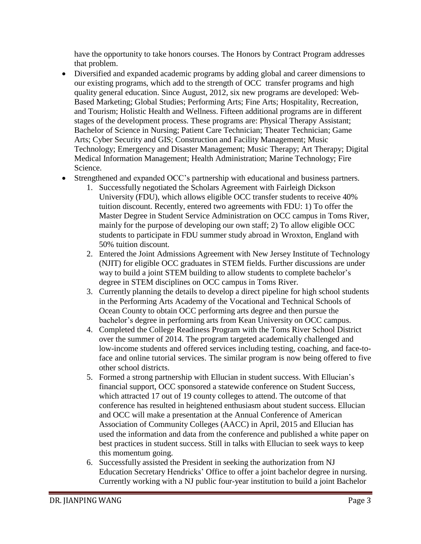have the opportunity to take honors courses. The Honors by Contract Program addresses that problem.

- Diversified and expanded academic programs by adding global and career dimensions to our existing programs, which add to the strength of OCC transfer programs and high quality general education. Since August, 2012, six new programs are developed: Web-Based Marketing; Global Studies; Performing Arts; Fine Arts; Hospitality, Recreation, and Tourism; Holistic Health and Wellness. Fifteen additional programs are in different stages of the development process. These programs are: Physical Therapy Assistant; Bachelor of Science in Nursing; Patient Care Technician; Theater Technician; Game Arts; Cyber Security and GIS; Construction and Facility Management; Music Technology; Emergency and Disaster Management; Music Therapy; Art Therapy; Digital Medical Information Management; Health Administration; Marine Technology; Fire Science.
- Strengthened and expanded OCC's partnership with educational and business partners.
	- 1. Successfully negotiated the Scholars Agreement with Fairleigh Dickson University (FDU), which allows eligible OCC transfer students to receive 40% tuition discount. Recently, entered two agreements with FDU: 1) To offer the Master Degree in Student Service Administration on OCC campus in Toms River, mainly for the purpose of developing our own staff; 2) To allow eligible OCC students to participate in FDU summer study abroad in Wroxton, England with 50% tuition discount.
	- 2. Entered the Joint Admissions Agreement with New Jersey Institute of Technology (NJIT) for eligible OCC graduates in STEM fields. Further discussions are under way to build a joint STEM building to allow students to complete bachelor's degree in STEM disciplines on OCC campus in Toms River.
	- 3. Currently planning the details to develop a direct pipeline for high school students in the Performing Arts Academy of the Vocational and Technical Schools of Ocean County to obtain OCC performing arts degree and then pursue the bachelor's degree in performing arts from Kean University on OCC campus.
	- 4. Completed the College Readiness Program with the Toms River School District over the summer of 2014. The program targeted academically challenged and low-income students and offered services including testing, coaching, and face-toface and online tutorial services. The similar program is now being offered to five other school districts.
	- 5. Formed a strong partnership with Ellucian in student success. With Ellucian's financial support, OCC sponsored a statewide conference on Student Success, which attracted 17 out of 19 county colleges to attend. The outcome of that conference has resulted in heightened enthusiasm about student success. Ellucian and OCC will make a presentation at the Annual Conference of American Association of Community Colleges (AACC) in April, 2015 and Ellucian has used the information and data from the conference and published a white paper on best practices in student success. Still in talks with Ellucian to seek ways to keep this momentum going.
	- 6. Successfully assisted the President in seeking the authorization from NJ Education Secretary Hendricks' Office to offer a joint bachelor degree in nursing. Currently working with a NJ public four-year institution to build a joint Bachelor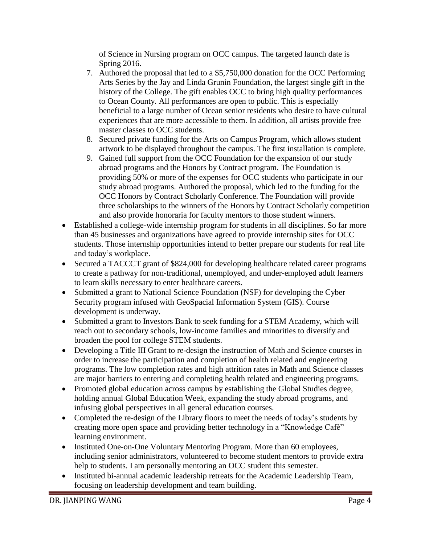of Science in Nursing program on OCC campus. The targeted launch date is Spring 2016.

- 7. Authored the proposal that led to a \$5,750,000 donation for the OCC Performing Arts Series by the Jay and Linda Grunin Foundation, the largest single gift in the history of the College. The gift enables OCC to bring high quality performances to Ocean County. All performances are open to public. This is especially beneficial to a large number of Ocean senior residents who desire to have cultural experiences that are more accessible to them. In addition, all artists provide free master classes to OCC students.
- 8. Secured private funding for the Arts on Campus Program, which allows student artwork to be displayed throughout the campus. The first installation is complete.
- 9. Gained full support from the OCC Foundation for the expansion of our study abroad programs and the Honors by Contract program. The Foundation is providing 50% or more of the expenses for OCC students who participate in our study abroad programs. Authored the proposal, which led to the funding for the OCC Honors by Contract Scholarly Conference. The Foundation will provide three scholarships to the winners of the Honors by Contract Scholarly competition and also provide honoraria for faculty mentors to those student winners.
- Established a college-wide internship program for students in all disciplines. So far more than 45 businesses and organizations have agreed to provide internship sites for OCC students. Those internship opportunities intend to better prepare our students for real life and today's workplace.
- Secured a TACCCT grant of \$824,000 for developing healthcare related career programs to create a pathway for non-traditional, unemployed, and under-employed adult learners to learn skills necessary to enter healthcare careers.
- Submitted a grant to National Science Foundation (NSF) for developing the Cyber Security program infused with GeoSpacial Information System (GIS). Course development is underway.
- Submitted a grant to Investors Bank to seek funding for a STEM Academy, which will reach out to secondary schools, low-income families and minorities to diversify and broaden the pool for college STEM students.
- Developing a Title III Grant to re-design the instruction of Math and Science courses in order to increase the participation and completion of health related and engineering programs. The low completion rates and high attrition rates in Math and Science classes are major barriers to entering and completing health related and engineering programs.
- Promoted global education across campus by establishing the Global Studies degree, holding annual Global Education Week, expanding the study abroad programs, and infusing global perspectives in all general education courses.
- Completed the re-design of the Library floors to meet the needs of today's students by creating more open space and providing better technology in a "Knowledge Café" learning environment.
- Instituted One-on-One Voluntary Mentoring Program. More than 60 employees, including senior administrators, volunteered to become student mentors to provide extra help to students. I am personally mentoring an OCC student this semester.
- Instituted bi-annual academic leadership retreats for the Academic Leadership Team, focusing on leadership development and team building.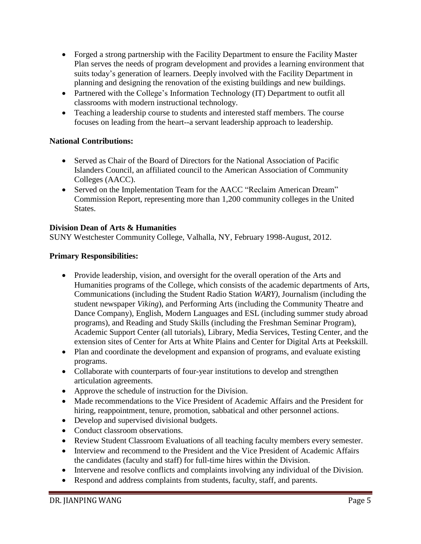- Forged a strong partnership with the Facility Department to ensure the Facility Master Plan serves the needs of program development and provides a learning environment that suits today's generation of learners. Deeply involved with the Facility Department in planning and designing the renovation of the existing buildings and new buildings.
- Partnered with the College's Information Technology (IT) Department to outfit all classrooms with modern instructional technology.
- Teaching a leadership course to students and interested staff members. The course focuses on leading from the heart--a servant leadership approach to leadership.

## **National Contributions:**

- Served as Chair of the Board of Directors for the National Association of Pacific Islanders Council, an affiliated council to the American Association of Community Colleges (AACC).
- Served on the Implementation Team for the AACC "Reclaim American Dream" Commission Report, representing more than 1,200 community colleges in the United States.

## **Division Dean of Arts & Humanities**

SUNY Westchester Community College, Valhalla, NY, February 1998-August, 2012.

### **Primary Responsibilities:**

- Provide leadership, vision, and oversight for the overall operation of the Arts and Humanities programs of the College, which consists of the academic departments of Arts, Communications (including the Student Radio Station *WARY)*, Journalism (including the student newspaper *Viking*), and Performing Arts (including the Community Theatre and Dance Company), English, Modern Languages and ESL (including summer study abroad programs), and Reading and Study Skills (including the Freshman Seminar Program), Academic Support Center (all tutorials), Library, Media Services, Testing Center, and the extension sites of Center for Arts at White Plains and Center for Digital Arts at Peekskill.
- Plan and coordinate the development and expansion of programs, and evaluate existing programs.
- Collaborate with counterparts of four-year institutions to develop and strengthen articulation agreements.
- Approve the schedule of instruction for the Division.
- Made recommendations to the Vice President of Academic Affairs and the President for hiring, reappointment, tenure, promotion, sabbatical and other personnel actions.
- Develop and supervised divisional budgets.
- Conduct classroom observations.
- Review Student Classroom Evaluations of all teaching faculty members every semester.
- Interview and recommend to the President and the Vice President of Academic Affairs the candidates (faculty and staff) for full-time hires within the Division.
- Intervene and resolve conflicts and complaints involving any individual of the Division.
- Respond and address complaints from students, faculty, staff, and parents.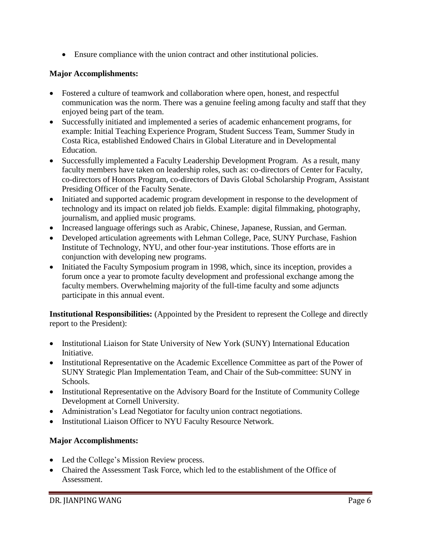Ensure compliance with the union contract and other institutional policies.

# **Major Accomplishments:**

- Fostered a culture of teamwork and collaboration where open, honest, and respectful communication was the norm. There was a genuine feeling among faculty and staff that they enjoyed being part of the team.
- Successfully initiated and implemented a series of academic enhancement programs, for example: Initial Teaching Experience Program, Student Success Team, Summer Study in Costa Rica, established Endowed Chairs in Global Literature and in Developmental Education.
- Successfully implemented a Faculty Leadership Development Program. As a result, many faculty members have taken on leadership roles, such as: co-directors of Center for Faculty, co-directors of Honors Program, co-directors of Davis Global Scholarship Program, Assistant Presiding Officer of the Faculty Senate.
- Initiated and supported academic program development in response to the development of technology and its impact on related job fields. Example: digital filmmaking, photography, journalism, and applied music programs.
- Increased language offerings such as Arabic, Chinese, Japanese, Russian, and German.
- Developed articulation agreements with Lehman College, Pace, SUNY Purchase, Fashion Institute of Technology, NYU, and other four-year institutions. Those efforts are in conjunction with developing new programs.
- Initiated the Faculty Symposium program in 1998, which, since its inception, provides a forum once a year to promote faculty development and professional exchange among the faculty members. Overwhelming majority of the full-time faculty and some adjuncts participate in this annual event.

**Institutional Responsibilities:** (Appointed by the President to represent the College and directly report to the President):

- Institutional Liaison for State University of New York (SUNY) International Education Initiative.
- Institutional Representative on the Academic Excellence Committee as part of the Power of SUNY Strategic Plan Implementation Team, and Chair of the Sub-committee: SUNY in Schools.
- Institutional Representative on the Advisory Board for the Institute of Community College Development at Cornell University.
- Administration's Lead Negotiator for faculty union contract negotiations.
- Institutional Liaison Officer to NYU Faculty Resource Network.

# **Major Accomplishments:**

- Led the College's Mission Review process.
- Chaired the Assessment Task Force, which led to the establishment of the Office of Assessment.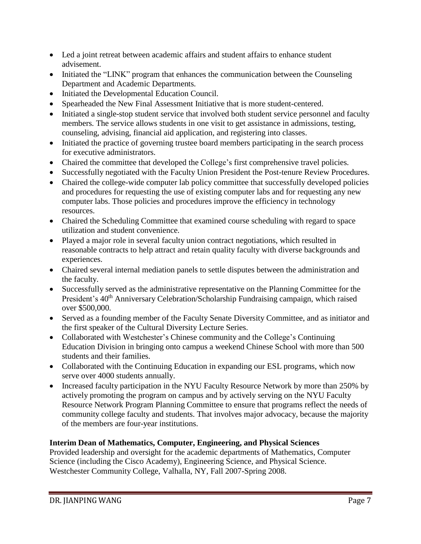- Led a joint retreat between academic affairs and student affairs to enhance student advisement.
- Initiated the "LINK" program that enhances the communication between the Counseling Department and Academic Departments.
- Initiated the Developmental Education Council.
- Spearheaded the New Final Assessment Initiative that is more student-centered.
- Initiated a single-stop student service that involved both student service personnel and faculty members. The service allows students in one visit to get assistance in admissions, testing, counseling, advising, financial aid application, and registering into classes.
- Initiated the practice of governing trustee board members participating in the search process for executive administrators.
- Chaired the committee that developed the College's first comprehensive travel policies.
- Successfully negotiated with the Faculty Union President the Post-tenure Review Procedures.
- Chaired the college-wide computer lab policy committee that successfully developed policies and procedures for requesting the use of existing computer labs and for requesting any new computer labs. Those policies and procedures improve the efficiency in technology resources.
- Chaired the Scheduling Committee that examined course scheduling with regard to space utilization and student convenience.
- Played a major role in several faculty union contract negotiations, which resulted in reasonable contracts to help attract and retain quality faculty with diverse backgrounds and experiences.
- Chaired several internal mediation panels to settle disputes between the administration and the faculty.
- Successfully served as the administrative representative on the Planning Committee for the President's 40<sup>th</sup> Anniversary Celebration/Scholarship Fundraising campaign, which raised over \$500,000.
- Served as a founding member of the Faculty Senate Diversity Committee, and as initiator and the first speaker of the Cultural Diversity Lecture Series.
- Collaborated with Westchester's Chinese community and the College's Continuing Education Division in bringing onto campus a weekend Chinese School with more than 500 students and their families.
- Collaborated with the Continuing Education in expanding our ESL programs, which now serve over 4000 students annually.
- Increased faculty participation in the NYU Faculty Resource Network by more than 250% by actively promoting the program on campus and by actively serving on the NYU Faculty Resource Network Program Planning Committee to ensure that programs reflect the needs of community college faculty and students. That involves major advocacy, because the majority of the members are four-year institutions.

# **Interim Dean of Mathematics, Computer, Engineering, and Physical Sciences**

Provided leadership and oversight for the academic departments of Mathematics, Computer Science (including the Cisco Academy), Engineering Science, and Physical Science. Westchester Community College, Valhalla, NY, Fall 2007-Spring 2008.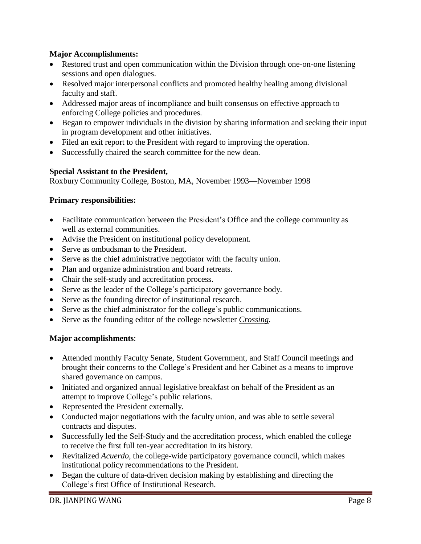## **Major Accomplishments:**

- Restored trust and open communication within the Division through one-on-one listening sessions and open dialogues.
- Resolved major interpersonal conflicts and promoted healthy healing among divisional faculty and staff.
- Addressed major areas of incompliance and built consensus on effective approach to enforcing College policies and procedures.
- Began to empower individuals in the division by sharing information and seeking their input in program development and other initiatives.
- Filed an exit report to the President with regard to improving the operation.
- Successfully chaired the search committee for the new dean.

## **Special Assistant to the President,**

Roxbury Community College, Boston, MA, November 1993—November 1998

## **Primary responsibilities:**

- Facilitate communication between the President's Office and the college community as well as external communities.
- Advise the President on institutional policy development.
- Serve as ombudsman to the President.
- Serve as the chief administrative negotiator with the faculty union.
- Plan and organize administration and board retreats.
- Chair the self-study and accreditation process.
- Serve as the leader of the College's participatory governance body.
- Serve as the founding director of institutional research.
- Serve as the chief administrator for the college's public communications.
- Serve as the founding editor of the college newsletter *Crossing.*

### **Major accomplishments**:

- Attended monthly Faculty Senate, Student Government, and Staff Council meetings and brought their concerns to the College's President and her Cabinet as a means to improve shared governance on campus.
- Initiated and organized annual legislative breakfast on behalf of the President as an attempt to improve College's public relations.
- Represented the President externally.
- Conducted major negotiations with the faculty union, and was able to settle several contracts and disputes.
- Successfully led the Self-Study and the accreditation process, which enabled the college to receive the first full ten-year accreditation in its history.
- Revitalized *Acuerdo*, the college-wide participatory governance council, which makes institutional policy recommendations to the President.
- Began the culture of data-driven decision making by establishing and directing the College's first Office of Institutional Research.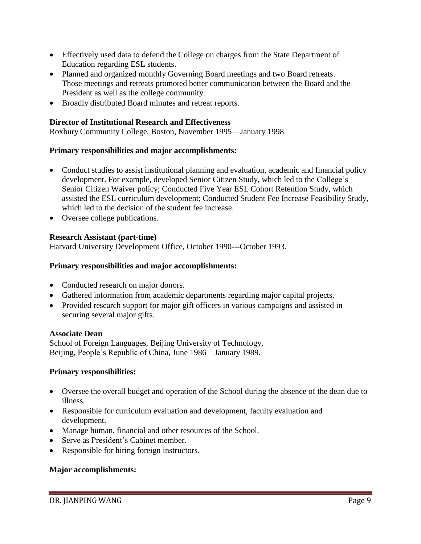- Effectively used data to defend the College on charges from the State Department of Education regarding ESL students.
- Planned and organized monthly Governing Board meetings and two Board retreats. Those meetings and retreats promoted better communication between the Board and the President as well as the college community.
- Broadly distributed Board minutes and retreat reports.

## **Director of Institutional Research and Effectiveness**

Roxbury Community College, Boston, November 1995—January 1998

### **Primary responsibilities and major accomplishments:**

- Conduct studies to assist institutional planning and evaluation, academic and financial policy development. For example, developed Senior Citizen Study, which led to the College's Senior Citizen Waiver policy; Conducted Five Year ESL Cohort Retention Study, which assisted the ESL curriculum development; Conducted Student Fee Increase Feasibility Study, which led to the decision of the student fee increase.
- Oversee college publications.

## **Research Assistant (part-time)**

Harvard University Development Office, October 1990---October 1993.

### **Primary responsibilities and major accomplishments:**

- Conducted research on major donors.
- Gathered information from academic departments regarding major capital projects.
- Provided research support for major gift officers in various campaigns and assisted in securing several major gifts.

### **Associate Dean**

School of Foreign Languages, Beijing University of Technology, Beijing, People's Republic of China, June 1986—January 1989.

### **Primary responsibilities:**

- Oversee the overall budget and operation of the School during the absence of the dean due to illness.
- Responsible for curriculum evaluation and development, faculty evaluation and development.
- Manage human, financial and other resources of the School.
- Serve as President's Cabinet member.
- Responsible for hiring foreign instructors.

### **Major accomplishments:**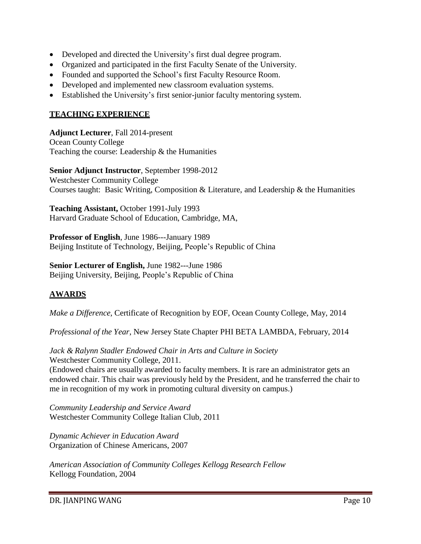- Developed and directed the University's first dual degree program.
- Organized and participated in the first Faculty Senate of the University.
- Founded and supported the School's first Faculty Resource Room.
- Developed and implemented new classroom evaluation systems.
- Established the University's first senior-junior faculty mentoring system.

### **TEACHING EXPERIENCE**

**Adjunct Lecturer**, Fall 2014-present Ocean County College Teaching the course: Leadership & the Humanities

**Senior Adjunct Instructor**, September 1998-2012 Westchester Community College Courses taught: Basic Writing, Composition & Literature, and Leadership & the Humanities

**Teaching Assistant,** October 1991-July 1993 Harvard Graduate School of Education, Cambridge, MA,

**Professor of English**, June 1986---January 1989 Beijing Institute of Technology, Beijing, People's Republic of China

**Senior Lecturer of English,** June 1982---June 1986 Beijing University, Beijing, People's Republic of China

# **AWARDS**

*Make a Difference,* Certificate of Recognition by EOF, Ocean County College, May, 2014

*Professional of the Year*, New Jersey State Chapter PHI BETA LAMBDA, February, 2014

*Jack & Ralynn Stadler Endowed Chair in Arts and Culture in Society* Westchester Community College, 2011. (Endowed chairs are usually awarded to faculty members. It is rare an administrator gets an endowed chair. This chair was previously held by the President, and he transferred the chair to me in recognition of my work in promoting cultural diversity on campus.)

*Community Leadership and Service Award* Westchester Community College Italian Club, 2011

*Dynamic Achiever in Education Award* Organization of Chinese Americans, 2007

*American Association of Community Colleges Kellogg Research Fellow* Kellogg Foundation, 2004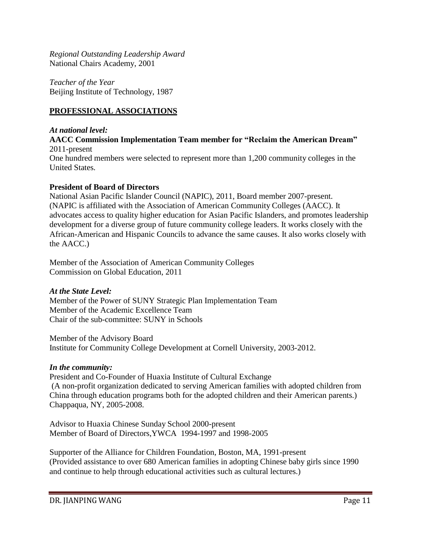*Regional Outstanding Leadership Award* National Chairs Academy, 2001

*Teacher of the Year* Beijing Institute of Technology, 1987

## **PROFESSIONAL ASSOCIATIONS**

*At national level:*

**AACC Commission Implementation Team member for "Reclaim the American Dream"** 2011-present

One hundred members were selected to represent more than 1,200 community colleges in the United States.

#### **President of Board of Directors**

National Asian Pacific Islander Council (NAPIC), 2011, Board member 2007-present. (NAPIC is affiliated with the Association of American Community Colleges (AACC). It advocates access to quality higher education for Asian Pacific Islanders, and promotes leadership development for a diverse group of future community college leaders. It works closely with the African-American and Hispanic Councils to advance the same causes. It also works closely with the AACC.)

Member of the Association of American Community Colleges Commission on Global Education, 2011

### *At the State Level:*

Member of the Power of SUNY Strategic Plan Implementation Team Member of the Academic Excellence Team Chair of the sub-committee: SUNY in Schools

Member of the Advisory Board Institute for Community College Development at Cornell University, 2003-2012.

### *In the community:*

President and Co-Founder of Huaxia Institute of Cultural Exchange (A non-profit organization dedicated to serving American families with adopted children from China through education programs both for the adopted children and their American parents.) Chappaqua, NY, 2005-2008.

Advisor to Huaxia Chinese Sunday School 2000-present Member of Board of Directors,YWCA 1994-1997 and 1998-2005

Supporter of the Alliance for Children Foundation, Boston, MA, 1991-present (Provided assistance to over 680 American families in adopting Chinese baby girls since 1990 and continue to help through educational activities such as cultural lectures.)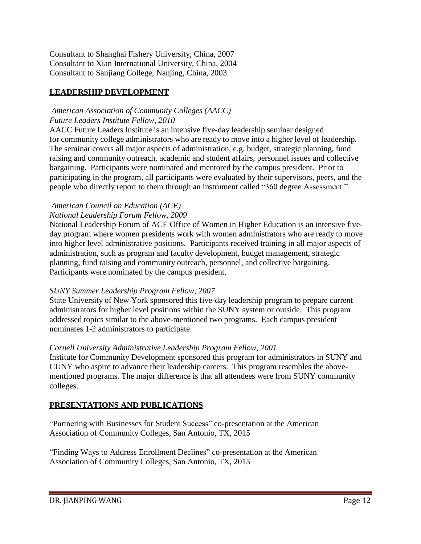Consultant to Shanghai Fishery University, China, 2007 Consultant to Xian International University, China, 2004 Consultant to Sanjiang College, Nanjing, China, 2003

# **LEADERSHIP DEVELOPMENT**

# *American Association of Community Colleges (AACC) Future Leaders Institute Fellow, 2010*

AACC Future Leaders Institute is an intensive five-day leadership seminar designed for community college administrators who are ready to move into a higher level of leadership. The seminar covers all major aspects of administration, e.g. budget, strategic planning, fund raising and community outreach, academic and student affairs, personnel issues and collective bargaining. Participants were nominated and mentored by the campus president. Prior to participating in the program, all participants were evaluated by their supervisors, peers, and the people who directly report to them through an instrument called "360 degree Assessment."

## *American Council on Education (ACE) National Leadership Forum Fellow, 2009*

National Leadership Forum of ACE Office of Women in Higher Education is an intensive fiveday program where women presidents work with women administrators who are ready to move into higher level administrative positions. Participants received training in all major aspects of administration, such as program and faculty development, budget management, strategic planning, fund raising and community outreach, personnel, and collective bargaining. Participants were nominated by the campus president.

# *SUNY Summer Leadership Program Fellow, 2007*

State University of New York sponsored this five-day leadership program to prepare current administrators for higher level positions within the SUNY system or outside. This program addressed topics similar to the above-mentioned two programs. Each campus president nominates 1-2 administrators to participate.

# *Cornell University Administrative Leadership Program Fellow, 2001*

Institute for Community Development sponsored this program for administrators in SUNY and CUNY who aspire to advance their leadership careers. This program resembles the abovementioned programs. The major difference is that all attendees were from SUNY community colleges.

# **PRESENTATIONS AND PUBLICATIONS**

"Partnering with Businesses for Student Success" co-presentation at the American Association of Community Colleges, San Antonio, TX, 2015

"Finding Ways to Address Enrollment Declines" co-presentation at the American Association of Community Colleges, San Antonio, TX, 2015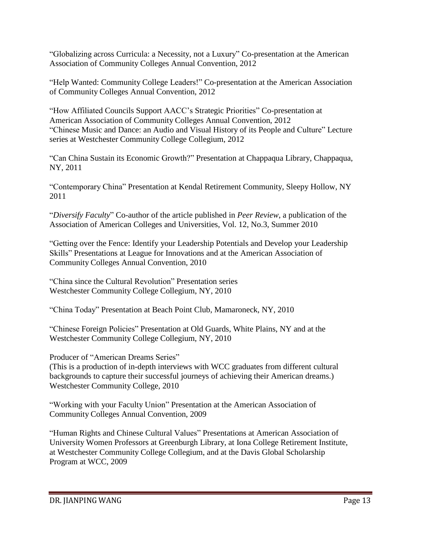"Globalizing across Curricula: a Necessity, not a Luxury" Co-presentation at the American Association of Community Colleges Annual Convention, 2012

"Help Wanted: Community College Leaders!" Co-presentation at the American Association of Community Colleges Annual Convention, 2012

"How Affiliated Councils Support AACC's Strategic Priorities" Co-presentation at American Association of Community Colleges Annual Convention, 2012 "Chinese Music and Dance: an Audio and Visual History of its People and Culture" Lecture series at Westchester Community College Collegium, 2012

"Can China Sustain its Economic Growth?" Presentation at Chappaqua Library, Chappaqua, NY, 2011

"Contemporary China" Presentation at Kendal Retirement Community, Sleepy Hollow, NY 2011

"*Diversify Faculty*" Co-author of the article published in *Peer Review*, a publication of the Association of American Colleges and Universities, Vol. 12, No.3, Summer 2010

"Getting over the Fence: Identify your Leadership Potentials and Develop your Leadership Skills" Presentations at League for Innovations and at the American Association of Community Colleges Annual Convention, 2010

"China since the Cultural Revolution" Presentation series Westchester Community College Collegium, NY, 2010

"China Today" Presentation at Beach Point Club, Mamaroneck, NY, 2010

"Chinese Foreign Policies" Presentation at Old Guards, White Plains, NY and at the Westchester Community College Collegium, NY, 2010

Producer of "American Dreams Series"

(This is a production of in-depth interviews with WCC graduates from different cultural backgrounds to capture their successful journeys of achieving their American dreams.) Westchester Community College, 2010

"Working with your Faculty Union" Presentation at the American Association of Community Colleges Annual Convention, 2009

"Human Rights and Chinese Cultural Values" Presentations at American Association of University Women Professors at Greenburgh Library, at Iona College Retirement Institute, at Westchester Community College Collegium, and at the Davis Global Scholarship Program at WCC, 2009